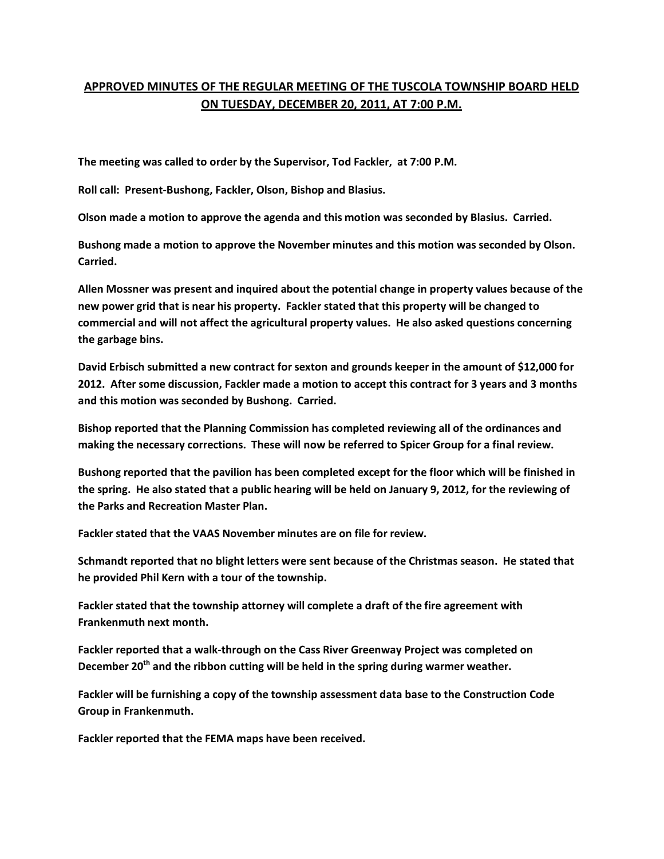## **APPROVED MINUTES OF THE REGULAR MEETING OF THE TUSCOLA TOWNSHIP BOARD HELD ON TUESDAY, DECEMBER 20, 2011, AT 7:00 P.M.**

**The meeting was called to order by the Supervisor, Tod Fackler, at 7:00 P.M.** 

**Roll call: Present-Bushong, Fackler, Olson, Bishop and Blasius.** 

**Olson made a motion to approve the agenda and this motion was seconded by Blasius. Carried.** 

**Bushong made a motion to approve the November minutes and this motion was seconded by Olson. Carried.** 

**Allen Mossner was present and inquired about the potential change in property values because of the new power grid that is near his property. Fackler stated that this property will be changed to commercial and will not affect the agricultural property values. He also asked questions concerning the garbage bins.** 

**David Erbisch submitted a new contract for sexton and grounds keeper in the amount of \$12,000 for 2012. After some discussion, Fackler made a motion to accept this contract for 3 years and 3 months and this motion was seconded by Bushong. Carried.** 

**Bishop reported that the Planning Commission has completed reviewing all of the ordinances and making the necessary corrections. These will now be referred to Spicer Group for a final review.** 

**Bushong reported that the pavilion has been completed except for the floor which will be finished in the spring. He also stated that a public hearing will be held on January 9, 2012, for the reviewing of the Parks and Recreation Master Plan.** 

**Fackler stated that the VAAS November minutes are on file for review.** 

**Schmandt reported that no blight letters were sent because of the Christmas season. He stated that he provided Phil Kern with a tour of the township.** 

**Fackler stated that the township attorney will complete a draft of the fire agreement with Frankenmuth next month.** 

**Fackler reported that a walk-through on the Cass River Greenway Project was completed on December 20th and the ribbon cutting will be held in the spring during warmer weather.** 

**Fackler will be furnishing a copy of the township assessment data base to the Construction Code Group in Frankenmuth.** 

**Fackler reported that the FEMA maps have been received.**